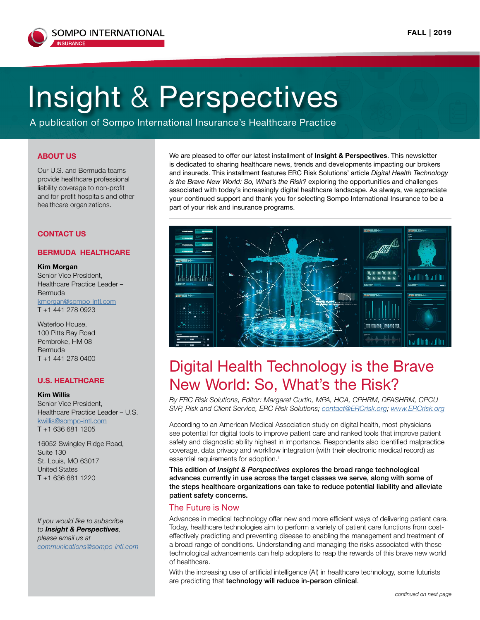

# Insight & Perspectives

A publication of Sompo International Insurance's Healthcare Practice

#### **ABOUT US**

Our U.S. and Bermuda teams provide healthcare professional liability coverage to non-profit and for-profit hospitals and other healthcare organizations.

#### **CONTACT US**

#### **BERMUDA HEALTHCARE**

#### **Kim Morgan**

Senior Vice President, Healthcare Practice Leader – Bermuda kmorgan@sompo-intl.com T +1 441 278 0923

Waterloo House, 100 Pitts Bay Road Pembroke, HM 08 Bermuda T +1 441 278 0400

#### **U.S. HEALTHCARE**

#### **Kim Willis**

Senior Vice President, Healthcare Practice Leader – U.S. kwillis@sompo-intl.com T +1 636 681 1205

16052 Swingley Ridge Road, Suite 130 St. Louis, MO 63017 United States T +1 636 681 1220

*If you would like to subscribe to Insight & Perspectives, please email us at communications@sompo-intl.com* We are pleased to offer our latest installment of **Insight & Perspectives**. This newsletter is dedicated to sharing healthcare news, trends and developments impacting our brokers and insureds. This installment features ERC Risk Solutions' article *Digital Health Technology is the Brave New World: So, What's the Risk?* exploring the opportunities and challenges associated with today's increasingly digital healthcare landscape. As always, we appreciate your continued support and thank you for selecting Sompo International Insurance to be a part of your risk and insurance programs.



## Digital Health Technology is the Brave New World: So, What's the Risk?

*By ERC Risk Solutions, Editor: Margaret Curtin, MPA, HCA, CPHRM, DFASHRM, CPCU SVP, Risk and Client Service, ERC Risk Solutions; [contact@ERCrisk.org;](mailto:contact%40ERCrisk.org?subject=) [www.ERCrisk.org](http://www.ERCrisk.org)*

According to an American Medical Association study on digital health, most physicians see potential for digital tools to improve patient care and ranked tools that improve patient safety and diagnostic ability highest in importance. Respondents also identified malpractice coverage, data privacy and workflow integration (with their electronic medical record) as essential requirements for adoption.<sup>1</sup>

This edition of *Insight & Perspectives* explores the broad range technological advances currently in use across the target classes we serve, along with some of the steps healthcare organizations can take to reduce potential liability and alleviate patient safety concerns.

#### The Future is Now

Advances in medical technology offer new and more efficient ways of delivering patient care. Today, healthcare technologies aim to perform a variety of patient care functions from costeffectively predicting and preventing disease to enabling the management and treatment of a broad range of conditions. Understanding and managing the risks associated with these technological advancements can help adopters to reap the rewards of this brave new world of healthcare.

With the increasing use of artificial intelligence (AI) in healthcare technology, some futurists are predicting that technology will reduce in-person clinical.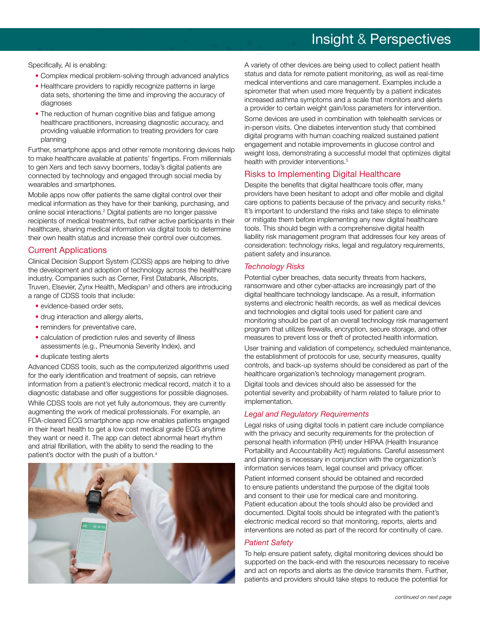## Insight & Perspectives

Specifically, AI is enabling:

- Complex medical problem-solving through advanced analytics
- Healthcare providers to rapidly recognize patterns in large data sets, shortening the time and improving the accuracy of diagnoses
- The reduction of human cognitive bias and fatigue among healthcare practitioners, increasing diagnostic accuracy, and providing valuable information to treating providers for care planning

Further, smartphone apps and other remote monitoring devices help to make healthcare available at patients' fingertips. From millennials to gen Xers and tech savvy boomers, today's digital patients are connected by technology and engaged through social media by wearables and smartphones.

Mobile apps now offer patients the same digital control over their medical information as they have for their banking, purchasing, and online social interactions.2 Digital patients are no longer passive recipients of medical treatments, but rather active participants in their healthcare, sharing medical information via digital tools to determine their own health status and increase their control over outcomes.

#### Current Applications

Clinical Decision Support System (CDSS) apps are helping to drive the development and adoption of technology across the healthcare industry. Companies such as Cerner, First Databank, Allscripts, Truven, Elsevier, Zynx Health, Medispan<sup>3</sup> and others are introducing a range of CDSS tools that include:

- evidence-based order sets,
- drug interaction and allergy alerts,
- reminders for preventative care,
- calculation of prediction rules and severity of illness assessments (e.g., Pneumonia Severity Index), and
- duplicate testing alerts

Advanced CDSS tools, such as the computerized algorithms used for the early identification and treatment of sepsis, can retrieve information from a patient's electronic medical record, match it to a diagnostic database and offer suggestions for possible diagnoses.

While CDSS tools are not yet fully autonomous, they are currently augmenting the work of medical professionals. For example, an FDA-cleared ECG smartphone app now enables patients engaged in their heart health to get a low cost medical grade ECG anytime they want or need it. The app can detect abnormal heart rhythm and atrial fibrillation, with the ability to send the reading to the patient's doctor with the push of a button.4



A variety of other devices are being used to collect patient health status and data for remote patient monitoring, as well as real-time medical interventions and care management. Examples include a spirometer that when used more frequently by a patient indicates increased asthma symptoms and a scale that monitors and alerts a provider to certain weight gain/loss parameters for intervention.

Some devices are used in combination with telehealth services or in-person visits. One diabetes intervention study that combined digital programs with human coaching realized sustained patient engagement and notable improvements in glucose control and weight loss, demonstrating a successful model that optimizes digital health with provider interventions.<sup>5</sup>

### Risks to Implementing Digital Healthcare

Despite the benefits that digital healthcare tools offer, many providers have been hesitant to adopt and offer mobile and digital care options to patients because of the privacy and security risks.<sup>6</sup> It's important to understand the risks and take steps to eliminate or mitigate them before implementing any new digital healthcare tools. This should begin with a comprehensive digital health liability risk management program that addresses four key areas of consideration: technology risks, legal and regulatory requirements, patient safety and insurance.

#### *Technology Risks*

Potential cyber breaches, data security threats from hackers, ransomware and other cyber-attacks are increasingly part of the digital healthcare technology landscape. As a result, information systems and electronic health records, as well as medical devices and technologies and digital tools used for patient care and monitoring should be part of an overall technology risk management program that utilizes firewalls, encryption, secure storage, and other measures to prevent loss or theft of protected health information.

User training and validation of competency, scheduled maintenance, the establishment of protocols for use, security measures, quality controls, and back-up systems should be considered as part of the healthcare organization's technology management program.

Digital tools and devices should also be assessed for the potential severity and probability of harm related to failure prior to implementation.

### *Legal and Regulatory Requirements*

Legal risks of using digital tools in patient care include compliance with the privacy and security requirements for the protection of personal health information (PHI) under HIPAA (Health Insurance Portability and Accountability Act) regulations. Careful assessment and planning is necessary in conjunction with the organization's information services team, legal counsel and privacy officer.

Patient informed consent should be obtained and recorded to ensure patients understand the purpose of the digital tools and consent to their use for medical care and monitoring. Patient education about the tools should also be provided and documented. Digital tools should be integrated with the patient's electronic medical record so that monitoring, reports, alerts and interventions are noted as part of the record for continuity of care.

#### *Patient Safety*

To help ensure patient safety, digital monitoring devices should be supported on the back-end with the resources necessary to receive and act on reports and alerts as the device transmits them. Further, patients and providers should take steps to reduce the potential for